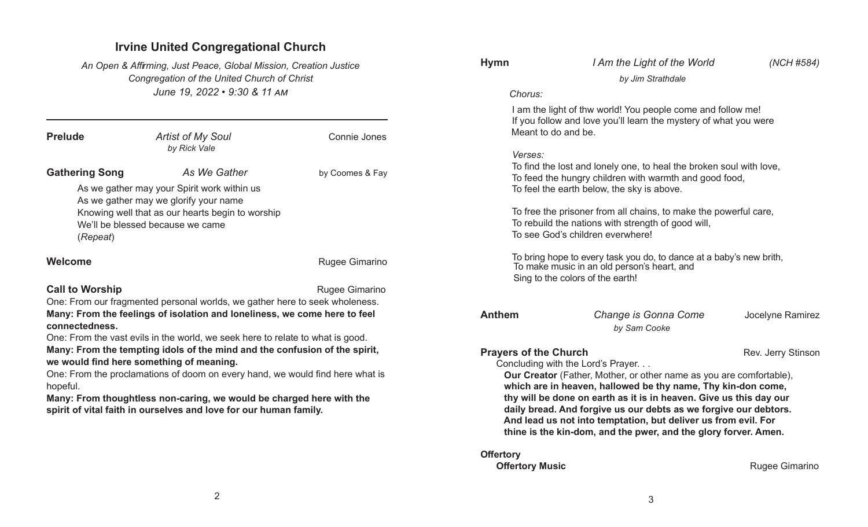## Irvine United Congregational Church

An Open & Affirming, Just Peace, Global Mission, Creation Justice Congregation of the United Church of Christ June 19, 2022 • 9:30 & 11 AM

| <b>Prelude</b>                                                                                                                                                                                                                                                                                                                                                                                                                                                                                                                  | <b>Artist of My Soul</b><br>by Rick Vale | Connie Jones   |  |  |  |  |  |
|---------------------------------------------------------------------------------------------------------------------------------------------------------------------------------------------------------------------------------------------------------------------------------------------------------------------------------------------------------------------------------------------------------------------------------------------------------------------------------------------------------------------------------|------------------------------------------|----------------|--|--|--|--|--|
| <b>Gathering Song</b><br>As We Gather<br>by Coomes & Fay<br>As we gather may your Spirit work within us<br>As we gather may we glorify your name<br>Knowing well that as our hearts begin to worship<br>We'll be blessed because we came<br>(Repeat)                                                                                                                                                                                                                                                                            |                                          |                |  |  |  |  |  |
| Welcome                                                                                                                                                                                                                                                                                                                                                                                                                                                                                                                         |                                          | Rugee Gimarino |  |  |  |  |  |
| <b>Call to Worship</b><br>Rugee Gimarino<br>One: From our fragmented personal worlds, we gather here to seek wholeness.<br>Many: From the feelings of isolation and loneliness, we come here to feel<br>connectedness.<br>One: From the vast evils in the world, we seek here to relate to what is good.<br>Many: From the tempting idols of the mind and the confusion of the spirit,<br>we would find here something of meaning.<br>One: From the proclamations of doom on every hand, we would find here what is<br>hopeful. |                                          |                |  |  |  |  |  |

Many: From thoughtless non-caring, we would be charged here with the spirit of vital faith in ourselves and love for our human family.

| <b>Hymn</b>                                                                                                                                                                                                                                                                                                  | I Am the Light of the World                                                                                                                                                                           | (NCH #584)       |  |  |  |  |  |  |
|--------------------------------------------------------------------------------------------------------------------------------------------------------------------------------------------------------------------------------------------------------------------------------------------------------------|-------------------------------------------------------------------------------------------------------------------------------------------------------------------------------------------------------|------------------|--|--|--|--|--|--|
| by Jim Strathdale                                                                                                                                                                                                                                                                                            |                                                                                                                                                                                                       |                  |  |  |  |  |  |  |
|                                                                                                                                                                                                                                                                                                              | Chorus:<br>I am the light of thw world! You people come and follow me!<br>If you follow and love you'll learn the mystery of what you were<br>Meant to do and be.                                     |                  |  |  |  |  |  |  |
|                                                                                                                                                                                                                                                                                                              | Verses:<br>To find the lost and lonely one, to heal the broken soul with love,<br>To feed the hungry children with warmth and good food,<br>To feel the earth below, the sky is above.                |                  |  |  |  |  |  |  |
|                                                                                                                                                                                                                                                                                                              | To free the prisoner from all chains, to make the powerful care,<br>To rebuild the nations with strength of good will,<br>To see God's children everwhere!                                            |                  |  |  |  |  |  |  |
|                                                                                                                                                                                                                                                                                                              | To bring hope to every task you do, to dance at a baby's new brith,<br>To make music in an old person's heart, and<br>Sing to the colors of the earth!                                                |                  |  |  |  |  |  |  |
| <b>Anthem</b>                                                                                                                                                                                                                                                                                                | Change is Gonna Come<br>by Sam Cooke                                                                                                                                                                  | Jocelyne Ramirez |  |  |  |  |  |  |
| <b>Prayers of the Church</b><br>Rev. Jerry Stinson<br>Concluding with the Lord's Prayer.<br><b>Our Creator</b> (Father, Mother, or other name as you are comfortable),<br>which are in heaven, hallowed be thy name, Thy kin-don come,<br>thy will be done on earth as it is in heaven. Give us this day our |                                                                                                                                                                                                       |                  |  |  |  |  |  |  |
|                                                                                                                                                                                                                                                                                                              | daily bread. And forgive us our debts as we forgive our debtors.<br>And lead us not into temptation, but deliver us from evil. For<br>thine is the kin-dom, and the pwer, and the glory forver. Amen. |                  |  |  |  |  |  |  |
| <b>Offertory</b>                                                                                                                                                                                                                                                                                             | <b>Offertory Music</b>                                                                                                                                                                                | Rugee Gimarino   |  |  |  |  |  |  |

Rugee Gimarino